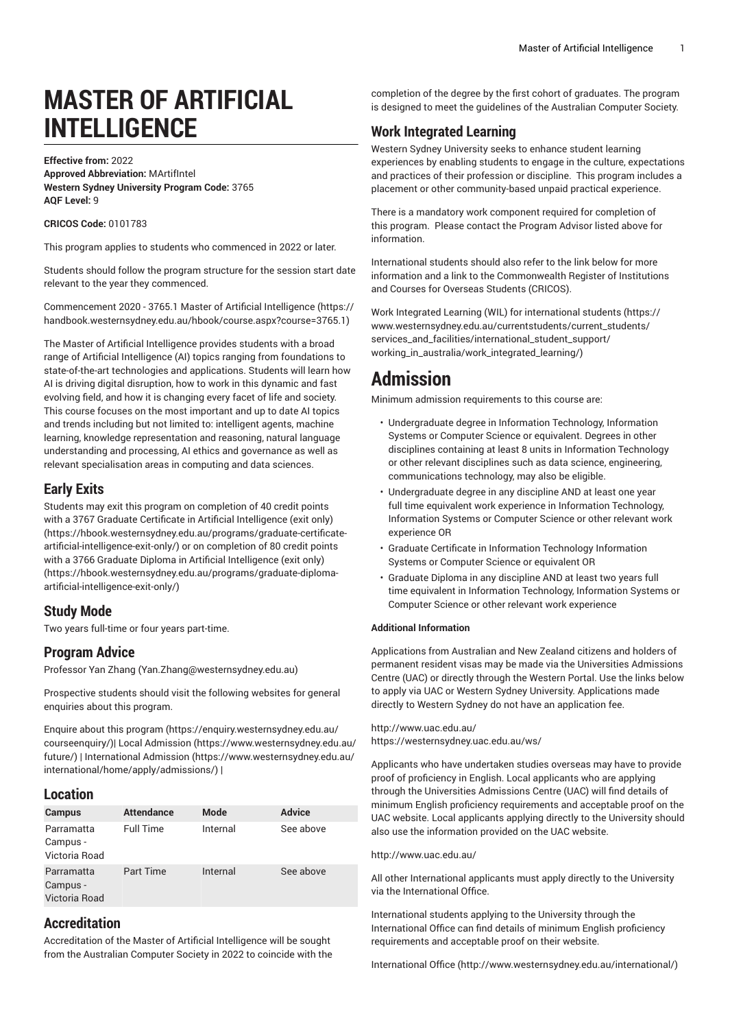# **MASTER OF ARTIFICIAL INTELLIGENCE**

**Effective from:** 2022 **Approved Abbreviation:** MArtifIntel **Western Sydney University Program Code:** 3765 **AQF Level:** 9

**CRICOS Code:** 0101783

This program applies to students who commenced in 2022 or later.

Students should follow the program structure for the session start date relevant to the year they commenced.

[Commencement](https://handbook.westernsydney.edu.au/hbook/course.aspx?course=3765.1) 2020 - 3765.1 Master of Artificial Intelligence ([https://](https://handbook.westernsydney.edu.au/hbook/course.aspx?course=3765.1) [handbook.westernsydney.edu.au/hbook/course.aspx?course=3765.1\)](https://handbook.westernsydney.edu.au/hbook/course.aspx?course=3765.1)

The Master of Artificial Intelligence provides students with a broad range of Artificial Intelligence (AI) topics ranging from foundations to state-of-the-art technologies and applications. Students will learn how AI is driving digital disruption, how to work in this dynamic and fast evolving field, and how it is changing every facet of life and society. This course focuses on the most important and up to date AI topics and trends including but not limited to: intelligent agents, machine learning, knowledge representation and reasoning, natural language understanding and processing, AI ethics and governance as well as relevant specialisation areas in computing and data sciences.

## **Early Exits**

Students may exit this program on completion of 40 credit points with a 3767 Graduate Certificate in Artificial [Intelligence](https://hbook.westernsydney.edu.au/programs/graduate-certificate-artificial-intelligence-exit-only/) (exit only) ([https://hbook.westernsydney.edu.au/programs/graduate-certificate](https://hbook.westernsydney.edu.au/programs/graduate-certificate-artificial-intelligence-exit-only/)[artificial-intelligence-exit-only/](https://hbook.westernsydney.edu.au/programs/graduate-certificate-artificial-intelligence-exit-only/)) or on completion of 80 credit points with a 3766 Graduate Diploma in Artificial [Intelligence](https://hbook.westernsydney.edu.au/programs/graduate-diploma-artificial-intelligence-exit-only/) (exit only) ([https://hbook.westernsydney.edu.au/programs/graduate-diploma](https://hbook.westernsydney.edu.au/programs/graduate-diploma-artificial-intelligence-exit-only/)[artificial-intelligence-exit-only/](https://hbook.westernsydney.edu.au/programs/graduate-diploma-artificial-intelligence-exit-only/))

# **Study Mode**

Two years full-time or four years part-time.

# **Program Advice**

[Professor](mailto:Yan.Zhang@westernsydney.edu.au) Yan Zhang ([Yan.Zhang@westernsydney.edu.au\)](Yan.Zhang@westernsydney.edu.au)

Prospective students should visit the following websites for general enquiries about this program.

Enquire about this [program \(https://enquiry.westernsydney.edu.au/](https://enquiry.westernsydney.edu.au/courseenquiry/) [courseenquiry/](https://enquiry.westernsydney.edu.au/courseenquiry/))| [Local Admission \(https://www.westernsydney.edu.au/](https://www.westernsydney.edu.au/future/) [future/\)](https://www.westernsydney.edu.au/future/) | [International Admission](https://www.westernsydney.edu.au/international/home/apply/admissions/) ([https://www.westernsydney.edu.au/](https://www.westernsydney.edu.au/international/home/apply/admissions/) [international/home/apply/admissions/](https://www.westernsydney.edu.au/international/home/apply/admissions/)) |

### **Location**

| <b>Campus</b>                           | <b>Attendance</b> | Mode     | <b>Advice</b> |
|-----------------------------------------|-------------------|----------|---------------|
| Parramatta<br>Campus -<br>Victoria Road | <b>Full Time</b>  | Internal | See above     |
| Parramatta<br>Campus -<br>Victoria Road | Part Time         | Internal | See above     |

# **Accreditation**

Accreditation of the Master of Artificial Intelligence will be sought from the Australian Computer Society in 2022 to coincide with the completion of the degree by the first cohort of graduates. The program is designed to meet the guidelines of the Australian Computer Society.

# **Work Integrated Learning**

Western Sydney University seeks to enhance student learning experiences by enabling students to engage in the culture, expectations and practices of their profession or discipline. This program includes a placement or other community-based unpaid practical experience.

There is a mandatory work component required for completion of this program. Please contact the Program Advisor listed above for information.

International students should also refer to the link below for more information and a link to the Commonwealth Register of Institutions and Courses for Overseas Students (CRICOS).

Work Integrated Learning (WIL) for [international](https://www.westernsydney.edu.au/currentstudents/current_students/services_and_facilities/international_student_support/working_in_australia/work_integrated_learning/) students ([https://](https://www.westernsydney.edu.au/currentstudents/current_students/services_and_facilities/international_student_support/working_in_australia/work_integrated_learning/) [www.westernsydney.edu.au/currentstudents/current\\_students/](https://www.westernsydney.edu.au/currentstudents/current_students/services_and_facilities/international_student_support/working_in_australia/work_integrated_learning/) [services\\_and\\_facilities/international\\_student\\_support/](https://www.westernsydney.edu.au/currentstudents/current_students/services_and_facilities/international_student_support/working_in_australia/work_integrated_learning/) [working\\_in\\_australia/work\\_integrated\\_learning/](https://www.westernsydney.edu.au/currentstudents/current_students/services_and_facilities/international_student_support/working_in_australia/work_integrated_learning/))

# **Admission**

Minimum admission requirements to this course are:

- Undergraduate degree in Information Technology, Information Systems or Computer Science or equivalent. Degrees in other disciplines containing at least 8 units in Information Technology or other relevant disciplines such as data science, engineering, communications technology, may also be eligible.
- Undergraduate degree in any discipline AND at least one year full time equivalent work experience in Information Technology, Information Systems or Computer Science or other relevant work experience OR
- Graduate Certificate in Information Technology Information Systems or Computer Science or equivalent OR
- Graduate Diploma in any discipline AND at least two years full time equivalent in Information Technology, Information Systems or Computer Science or other relevant work experience

### **Additional Information**

Applications from Australian and New Zealand citizens and holders of permanent resident visas may be made via the Universities Admissions Centre (UAC) or directly through the Western Portal. Use the links below to apply via UAC or Western Sydney University. Applications made directly to Western Sydney do not have an application fee.

# <http://www.uac.edu.au/>

<https://westernsydney.uac.edu.au/ws/>

Applicants who have undertaken studies overseas may have to provide proof of proficiency in English. Local applicants who are applying through the Universities Admissions Centre (UAC) will find details of minimum English proficiency requirements and acceptable proof on the UAC website. Local applicants applying directly to the University should also use the information provided on the UAC website.

### <http://www.uac.edu.au/>

All other International applicants must apply directly to the University via the International Office.

International students applying to the University through the International Office can find details of minimum English proficiency requirements and acceptable proof on their website.

[International Office](http://www.westernsydney.edu.au/international/) ([http://www.westernsydney.edu.au/international/\)](http://www.westernsydney.edu.au/international/)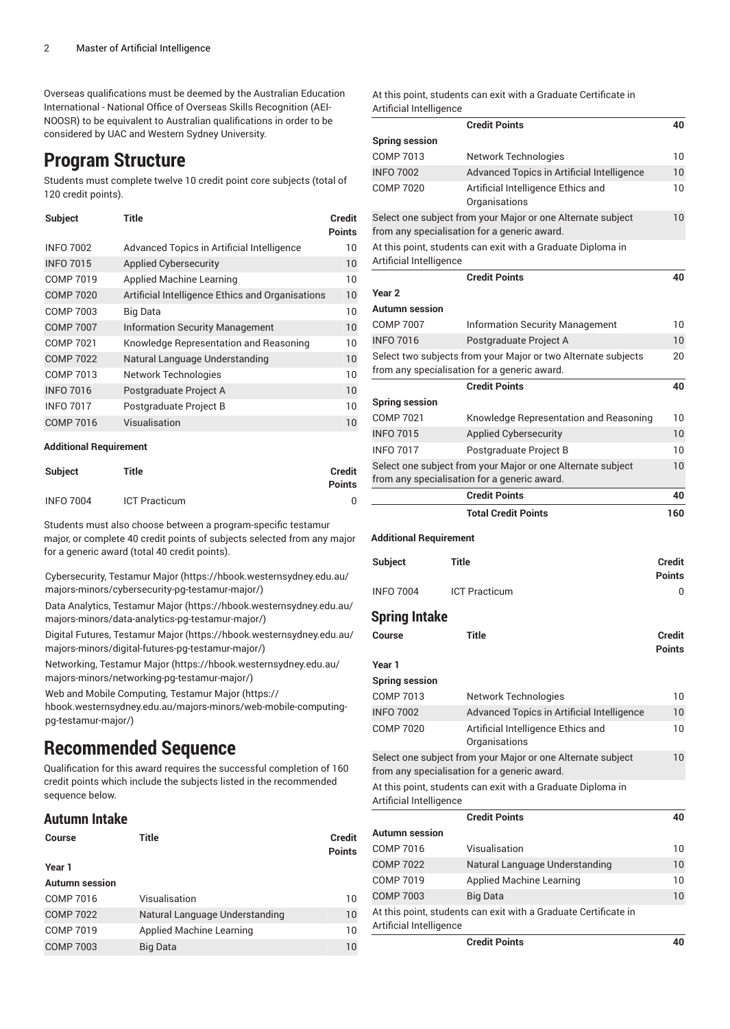Overseas qualifications must be deemed by the Australian Education International - National Office of Overseas Skills Recognition (AEI-NOOSR) to be equivalent to Australian qualifications in order to be considered by UAC and Western Sydney University.

# **Program Structure**

Students must complete twelve 10 credit point core subjects (total of 120 credit points).

| <b>Subject</b>   | Title                                            | <b>Credit</b><br><b>Points</b> |
|------------------|--------------------------------------------------|--------------------------------|
| <b>INFO 7002</b> | Advanced Topics in Artificial Intelligence       | 10                             |
| <b>INFO 7015</b> | <b>Applied Cybersecurity</b>                     | 10                             |
| <b>COMP 7019</b> | Applied Machine Learning                         | 10                             |
| <b>COMP 7020</b> | Artificial Intelligence Ethics and Organisations | 10                             |
| COMP 7003        | Big Data                                         | 10                             |
| <b>COMP 7007</b> | <b>Information Security Management</b>           | 10                             |
| COMP 7021        | Knowledge Representation and Reasoning           | 10                             |
| <b>COMP 7022</b> | Natural Language Understanding                   | 10                             |
| COMP 7013        | Network Technologies                             | 10                             |
| <b>INFO 7016</b> | Postgraduate Project A                           | 10                             |
| <b>INFO 7017</b> | Postgraduate Project B                           | 10                             |
| <b>COMP 7016</b> | Visualisation                                    | 10                             |

#### **Additional Requirement**

| <b>Subject</b>   | Title                | <b>Credit</b><br><b>Points</b> |
|------------------|----------------------|--------------------------------|
| <b>INFO 7004</b> | <b>ICT Practicum</b> |                                |

Students must also choose between a program-specific testamur major, or complete 40 credit points of subjects selected from any major for a generic award (total 40 credit points).

[Cybersecurity,](https://hbook.westernsydney.edu.au/majors-minors/cybersecurity-pg-testamur-major/) Testamur Major ([https://hbook.westernsydney.edu.au/](https://hbook.westernsydney.edu.au/majors-minors/cybersecurity-pg-testamur-major/) [majors-minors/cybersecurity-pg-testamur-major/](https://hbook.westernsydney.edu.au/majors-minors/cybersecurity-pg-testamur-major/))

Data [Analytics,](https://hbook.westernsydney.edu.au/majors-minors/data-analytics-pg-testamur-major/) Testamur Major [\(https://hbook.westernsydney.edu.au/](https://hbook.westernsydney.edu.au/majors-minors/data-analytics-pg-testamur-major/) [majors-minors/data-analytics-pg-testamur-major/](https://hbook.westernsydney.edu.au/majors-minors/data-analytics-pg-testamur-major/))

Digital Futures, [Testamur](https://hbook.westernsydney.edu.au/majors-minors/digital-futures-pg-testamur-major/) Major ([https://hbook.westernsydney.edu.au/](https://hbook.westernsydney.edu.au/majors-minors/digital-futures-pg-testamur-major/) [majors-minors/digital-futures-pg-testamur-major/\)](https://hbook.westernsydney.edu.au/majors-minors/digital-futures-pg-testamur-major/)

[Networking,](https://hbook.westernsydney.edu.au/majors-minors/networking-pg-testamur-major/) Testamur Major [\(https://hbook.westernsydney.edu.au/](https://hbook.westernsydney.edu.au/majors-minors/networking-pg-testamur-major/) [majors-minors/networking-pg-testamur-major/\)](https://hbook.westernsydney.edu.au/majors-minors/networking-pg-testamur-major/)

Web and Mobile [Computing,](https://hbook.westernsydney.edu.au/majors-minors/web-mobile-computing-pg-testamur-major/) Testamur Major [\(https://](https://hbook.westernsydney.edu.au/majors-minors/web-mobile-computing-pg-testamur-major/)

[hbook.westernsydney.edu.au/majors-minors/web-mobile-computing](https://hbook.westernsydney.edu.au/majors-minors/web-mobile-computing-pg-testamur-major/)[pg-testamur-major/](https://hbook.westernsydney.edu.au/majors-minors/web-mobile-computing-pg-testamur-major/))

# **Recommended Sequence**

Qualification for this award requires the successful completion of 160 credit points which include the subjects listed in the recommended sequence below.

## **Autumn Intake**

| Course                | <b>Title</b>                   | <b>Credit</b><br><b>Points</b> |
|-----------------------|--------------------------------|--------------------------------|
| Year 1                |                                |                                |
| <b>Autumn</b> session |                                |                                |
| COMP 7016             | Visualisation                  | 10                             |
| <b>COMP 7022</b>      | Natural Language Understanding | 10                             |
| <b>COMP 7019</b>      | Applied Machine Learning       | 10                             |
| <b>COMP 7003</b>      | <b>Big Data</b>                | 10                             |

At this point, students can exit with a Graduate Certificate in Artificial Intelligence

|                               | <b>Credit Points</b>                                              | 40            |
|-------------------------------|-------------------------------------------------------------------|---------------|
| <b>Spring session</b>         |                                                                   |               |
| <b>COMP 7013</b>              | Network Technologies                                              | 10            |
| <b>INFO 7002</b>              | Advanced Topics in Artificial Intelligence                        | 10            |
| <b>COMP 7020</b>              | Artificial Intelligence Ethics and<br>Organisations               | 10            |
|                               | Select one subject from your Major or one Alternate subject       | 10            |
|                               | from any specialisation for a generic award.                      |               |
| Artificial Intelligence       | At this point, students can exit with a Graduate Diploma in       |               |
|                               | <b>Credit Points</b>                                              | 40            |
| Year 2                        |                                                                   |               |
| <b>Autumn</b> session         |                                                                   |               |
| <b>COMP 7007</b>              | <b>Information Security Management</b>                            | 10            |
| <b>INFO 7016</b>              | Postgraduate Project A                                            | 10            |
|                               | Select two subjects from your Major or two Alternate subjects     | 20            |
|                               | from any specialisation for a generic award.                      |               |
|                               | <b>Credit Points</b>                                              | 40            |
| <b>Spring session</b>         |                                                                   |               |
| <b>COMP 7021</b>              | Knowledge Representation and Reasoning                            | 10            |
| <b>INFO 7015</b>              | Applied Cybersecurity                                             | 10            |
| <b>INFO 7017</b>              | Postgraduate Project B                                            | 10            |
|                               | Select one subject from your Major or one Alternate subject       | 10            |
|                               | from any specialisation for a generic award.                      |               |
|                               | <b>Credit Points</b>                                              | 40            |
|                               | <b>Total Credit Points</b>                                        | 160           |
|                               |                                                                   |               |
| <b>Additional Requirement</b> |                                                                   |               |
| <b>Subject</b>                | Title                                                             | <b>Credit</b> |
|                               |                                                                   | Points        |
| <b>INFO 7004</b>              | <b>ICT Practicum</b>                                              | 0             |
|                               |                                                                   |               |
| <b>Spring Intake</b>          |                                                                   |               |
| Course                        | Title                                                             | Credit        |
|                               |                                                                   | <b>Points</b> |
| Year 1                        |                                                                   |               |
| <b>Spring session</b>         |                                                                   |               |
| <b>COMP 7013</b>              | Network Technologies                                              | 10            |
| <b>INFO 7002</b>              | Advanced Topics in Artificial Intelligence                        | 10            |
| <b>COMP 7020</b>              | Artificial Intelligence Ethics and<br>Organisations               | 10            |
|                               | Select one subject from your Major or one Alternate subject       | 10            |
|                               | from any specialisation for a generic award.                      |               |
| Artificial Intelligence       | At this point, students can exit with a Graduate Diploma in       |               |
|                               | <b>Credit Points</b>                                              | 40            |
| <b>Autumn</b> session         |                                                                   |               |
| <b>COMP 7016</b>              |                                                                   | 10            |
|                               | Visualisation                                                     |               |
| <b>COMP 7022</b>              |                                                                   | 10            |
| <b>COMP 7019</b>              | Natural Language Understanding<br><b>Applied Machine Learning</b> | 10            |
| <b>COMP 7003</b>              | <b>Big Data</b>                                                   | 10            |
|                               | At this point, students can exit with a Graduate Certificate in   |               |

**Credit Points 40**